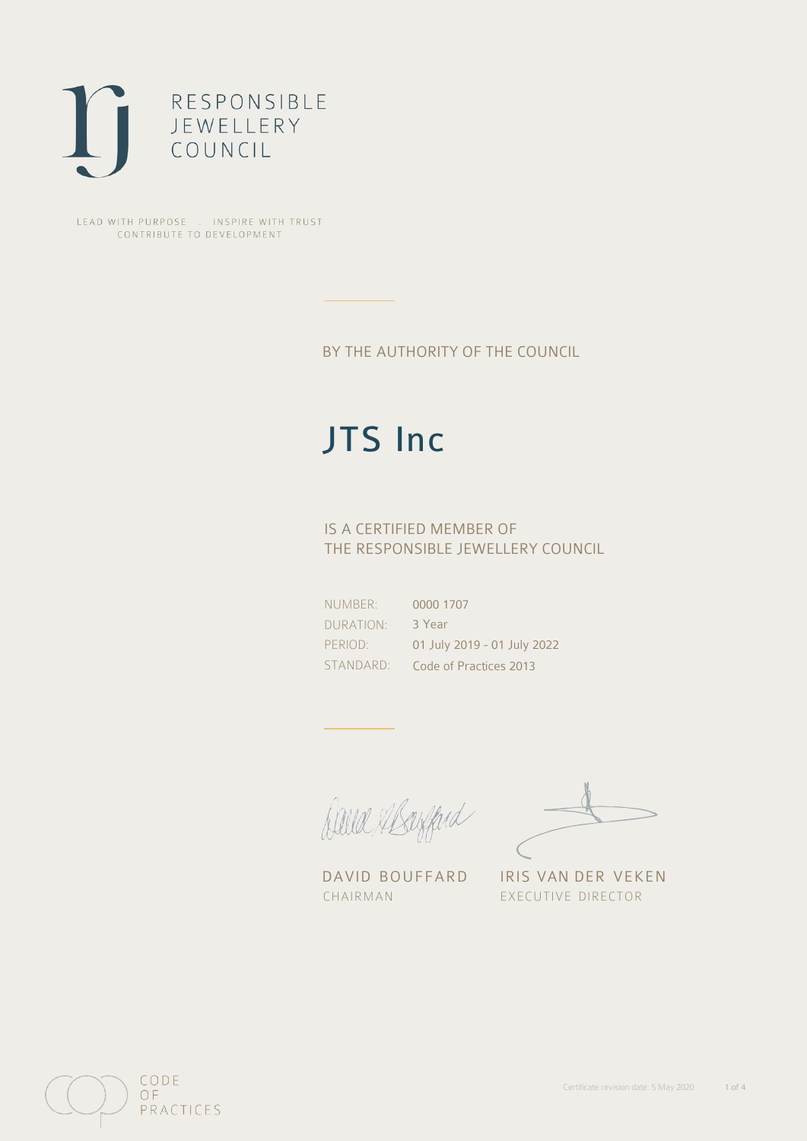

LEAD WITH PURPOSE . INSPIRE WITH TRUST CONTRIBUTE TO DEVELOPMENT

## BY THE AUTHORITY OF THE COUNCIL

## JTS Inc

## IS A CERTIFIED MEMBER OF THE RESPONSIBLE JEWELLERY COUNCIL

NUMBER: DURATION: PERIOD: STANDARD: 0000 1707 3 Year 01 July 2019 - 01 July 2022 Code of Practices 2013

Balla Margard

DAVID BOUFFARD IRIS VAN DER VEKEN CHAIRMAN EXECUTIVE DIRECTOR

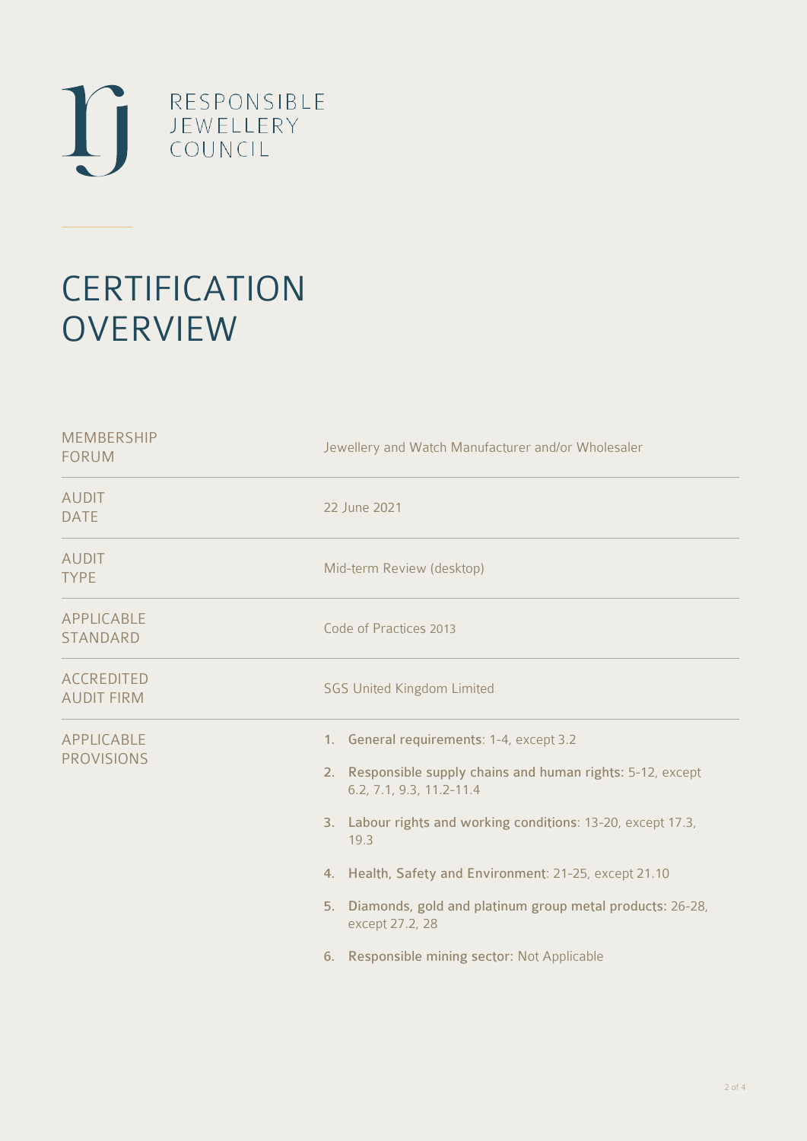

# **CERTIFICATION OVERVIEW**

| Jewellery and Watch Manufacturer and/or Wholesaler                                                                                                                                                                                                                                                                                                                                                      |  |  |
|---------------------------------------------------------------------------------------------------------------------------------------------------------------------------------------------------------------------------------------------------------------------------------------------------------------------------------------------------------------------------------------------------------|--|--|
| 22 June 2021                                                                                                                                                                                                                                                                                                                                                                                            |  |  |
| Mid-term Review (desktop)                                                                                                                                                                                                                                                                                                                                                                               |  |  |
| Code of Practices 2013                                                                                                                                                                                                                                                                                                                                                                                  |  |  |
| <b>SGS United Kingdom Limited</b>                                                                                                                                                                                                                                                                                                                                                                       |  |  |
| 1. General requirements: 1-4, except 3.2<br>2. Responsible supply chains and human rights: 5-12, except<br>6.2, 7.1, 9.3, 11.2-11.4<br>3. Labour rights and working conditions: 13-20, except 17.3,<br>19.3<br>4. Health, Safety and Environment: 21-25, except 21.10<br>5. Diamonds, gold and platinum group metal products: 26-28,<br>except 27.2, 28<br>6. Responsible mining sector: Not Applicable |  |  |
|                                                                                                                                                                                                                                                                                                                                                                                                         |  |  |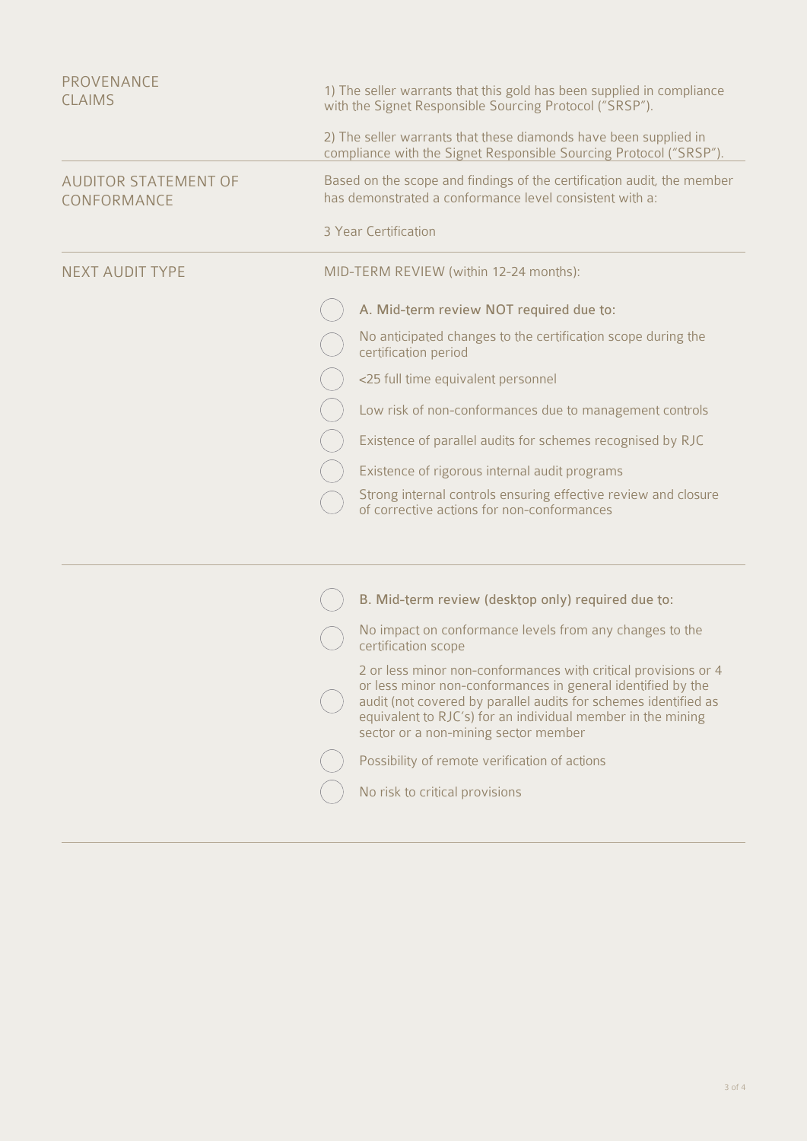| PROVENANCE<br><b>CLAIMS</b>                |                                                                                                                                        | 1) The seller warrants that this gold has been supplied in compliance<br>with the Signet Responsible Sourcing Protocol ("SRSP").                                                                                                                                                                        |  |  |
|--------------------------------------------|----------------------------------------------------------------------------------------------------------------------------------------|---------------------------------------------------------------------------------------------------------------------------------------------------------------------------------------------------------------------------------------------------------------------------------------------------------|--|--|
|                                            | 2) The seller warrants that these diamonds have been supplied in<br>compliance with the Signet Responsible Sourcing Protocol ("SRSP"). |                                                                                                                                                                                                                                                                                                         |  |  |
| <b>AUDITOR STATEMENT OF</b><br>CONFORMANCE |                                                                                                                                        | Based on the scope and findings of the certification audit, the member<br>has demonstrated a conformance level consistent with a:                                                                                                                                                                       |  |  |
|                                            |                                                                                                                                        | 3 Year Certification                                                                                                                                                                                                                                                                                    |  |  |
| <b>NEXT AUDIT TYPE</b>                     |                                                                                                                                        | MID-TERM REVIEW (within 12-24 months):                                                                                                                                                                                                                                                                  |  |  |
|                                            |                                                                                                                                        | A. Mid-term review NOT required due to:                                                                                                                                                                                                                                                                 |  |  |
|                                            |                                                                                                                                        | No anticipated changes to the certification scope during the<br>certification period                                                                                                                                                                                                                    |  |  |
|                                            |                                                                                                                                        | <25 full time equivalent personnel                                                                                                                                                                                                                                                                      |  |  |
|                                            |                                                                                                                                        | Low risk of non-conformances due to management controls                                                                                                                                                                                                                                                 |  |  |
|                                            |                                                                                                                                        | Existence of parallel audits for schemes recognised by RJC                                                                                                                                                                                                                                              |  |  |
|                                            |                                                                                                                                        | Existence of rigorous internal audit programs                                                                                                                                                                                                                                                           |  |  |
|                                            |                                                                                                                                        | Strong internal controls ensuring effective review and closure<br>of corrective actions for non-conformances                                                                                                                                                                                            |  |  |
|                                            |                                                                                                                                        |                                                                                                                                                                                                                                                                                                         |  |  |
|                                            |                                                                                                                                        | B. Mid-term review (desktop only) required due to:                                                                                                                                                                                                                                                      |  |  |
|                                            |                                                                                                                                        |                                                                                                                                                                                                                                                                                                         |  |  |
|                                            |                                                                                                                                        | No impact on conformance levels from any changes to the<br>certification scope                                                                                                                                                                                                                          |  |  |
|                                            |                                                                                                                                        | 2 or less minor non-conformances with critical provisions or 4<br>or less minor non-conformances in general identified by the<br>audit (not covered by parallel audits for schemes identified as<br>equivalent to RJC's) for an individual member in the mining<br>sector or a non-mining sector member |  |  |
|                                            |                                                                                                                                        |                                                                                                                                                                                                                                                                                                         |  |  |

( ) Possibility of remote verification of actions

No risk to critical provisions

 $\bigcirc$